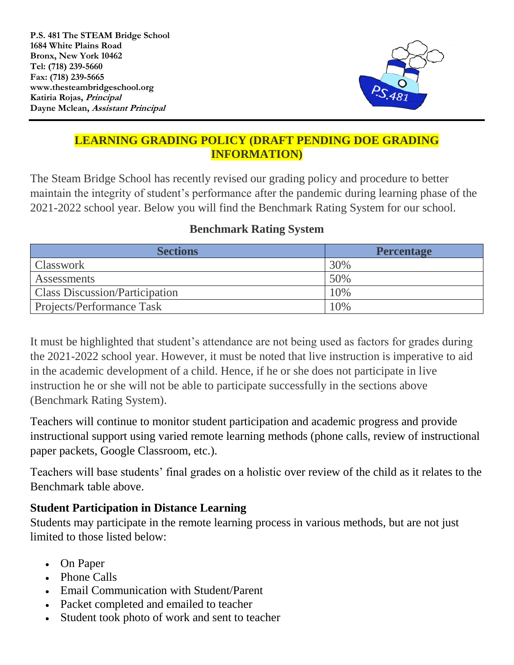

# **LEARNING GRADING POLICY (DRAFT PENDING DOE GRADING INFORMATION)**

The Steam Bridge School has recently revised our grading policy and procedure to better maintain the integrity of student's performance after the pandemic during learning phase of the 2021-2022 school year. Below you will find the Benchmark Rating System for our school.

### **Benchmark Rating System**

| <b>Sections</b>                       | <b>Percentage</b> |
|---------------------------------------|-------------------|
| <b>Classwork</b>                      | 30%               |
| Assessments                           | 50%               |
| <b>Class Discussion/Participation</b> | 10%               |
| Projects/Performance Task             | 10%               |

It must be highlighted that student's attendance are not being used as factors for grades during the 2021-2022 school year. However, it must be noted that live instruction is imperative to aid in the academic development of a child. Hence, if he or she does not participate in live instruction he or she will not be able to participate successfully in the sections above (Benchmark Rating System).

Teachers will continue to monitor student participation and academic progress and provide instructional support using varied remote learning methods (phone calls, review of instructional paper packets, Google Classroom, etc.).

Teachers will base students' final grades on a holistic over review of the child as it relates to the Benchmark table above.

## **Student Participation in Distance Learning**

Students may participate in the remote learning process in various methods, but are not just limited to those listed below:

- On Paper
- Phone Calls
- Email Communication with Student/Parent
- Packet completed and emailed to teacher
- Student took photo of work and sent to teacher